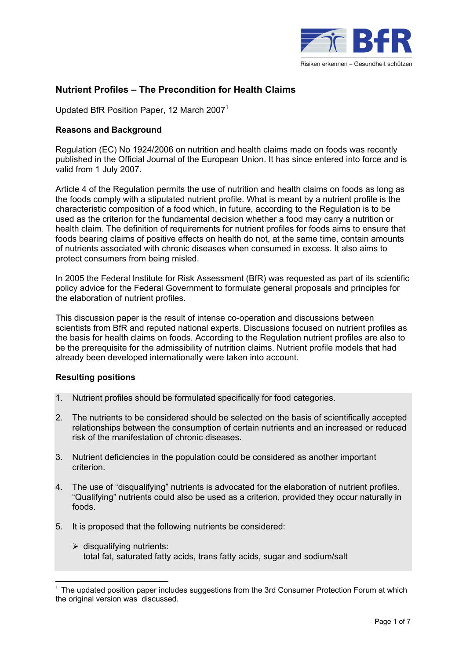

# **Nutrient Profiles – The Precondition for Health Claims**

Updated BfR Position Paper, 12 March 2007<sup>1</sup>

## **Reasons and Background**

Regulation (EC) No 1924/2006 on nutrition and health claims made on foods was recently published in the Official Journal of the European Union. It has since entered into force and is valid from 1 July 2007.

Article 4 of the Regulation permits the use of nutrition and health claims on foods as long as the foods comply with a stipulated nutrient profile. What is meant by a nutrient profile is the characteristic composition of a food which, in future, according to the Regulation is to be used as the criterion for the fundamental decision whether a food may carry a nutrition or health claim. The definition of requirements for nutrient profiles for foods aims to ensure that foods bearing claims of positive effects on health do not, at the same time, contain amounts of nutrients associated with chronic diseases when consumed in excess. It also aims to protect consumers from being misled.

In 2005 the Federal Institute for Risk Assessment (BfR) was requested as part of its scientific policy advice for the Federal Government to formulate general proposals and principles for the elaboration of nutrient profiles.

This discussion paper is the result of intense co-operation and discussions between scientists from BfR and reputed national experts. Discussions focused on nutrient profiles as the basis for health claims on foods. According to the Regulation nutrient profiles are also to be the prerequisite for the admissibility of nutrition claims. Nutrient profile models that had already been developed internationally were taken into account.

### **Resulting positions**

 $\overline{a}$ 

- 1. Nutrient profiles should be formulated specifically for food categories.
- 2. The nutrients to be considered should be selected on the basis of scientifically accepted relationships between the consumption of certain nutrients and an increased or reduced risk of the manifestation of chronic diseases.
- 3. Nutrient deficiencies in the population could be considered as another important criterion.
- 4. The use of "disqualifying" nutrients is advocated for the elaboration of nutrient profiles. "Qualifying" nutrients could also be used as a criterion, provided they occur naturally in foods.
- 5. It is proposed that the following nutrients be considered:
	- $\triangleright$  disqualifying nutrients: total fat, saturated fatty acids, trans fatty acids, sugar and sodium/salt

<sup>1</sup> The updated position paper includes suggestions from the 3rd Consumer Protection Forum at which the original version was discussed.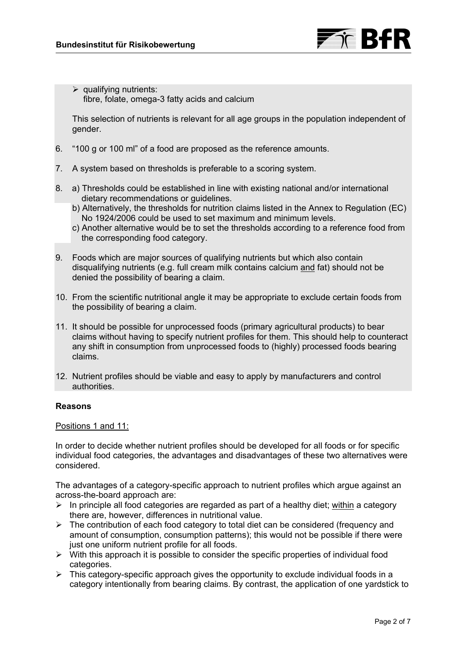

 $\triangleright$  qualifying nutrients: fibre, folate, omega-3 fatty acids and calcium

 This selection of nutrients is relevant for all age groups in the population independent of gender.

- 6. "100 g or 100 ml" of a food are proposed as the reference amounts.
- 7. A system based on thresholds is preferable to a scoring system.
- 8. a) Thresholds could be established in line with existing national and/or international dietary recommendations or guidelines.
	- b) Alternatively, the thresholds for nutrition claims listed in the Annex to Regulation (EC) No 1924/2006 could be used to set maximum and minimum levels.
	- c) Another alternative would be to set the thresholds according to a reference food from the corresponding food category.
- 9. Foods which are major sources of qualifying nutrients but which also contain disqualifying nutrients (e.g. full cream milk contains calcium and fat) should not be denied the possibility of bearing a claim.
- 10. From the scientific nutritional angle it may be appropriate to exclude certain foods from the possibility of bearing a claim.
- 11. It should be possible for unprocessed foods (primary agricultural products) to bear claims without having to specify nutrient profiles for them. This should help to counteract any shift in consumption from unprocessed foods to (highly) processed foods bearing claims.
- 12. Nutrient profiles should be viable and easy to apply by manufacturers and control authorities.

## **Reasons**

### Positions 1 and 11:

In order to decide whether nutrient profiles should be developed for all foods or for specific individual food categories, the advantages and disadvantages of these two alternatives were considered.

The advantages of a category-specific approach to nutrient profiles which argue against an across-the-board approach are:

- $\triangleright$  In principle all food categories are regarded as part of a healthy diet; within a category there are, however, differences in nutritional value.
- $\triangleright$  The contribution of each food category to total diet can be considered (frequency and amount of consumption, consumption patterns); this would not be possible if there were just one uniform nutrient profile for all foods.
- $\triangleright$  With this approach it is possible to consider the specific properties of individual food categories.
- $\triangleright$  This category-specific approach gives the opportunity to exclude individual foods in a category intentionally from bearing claims. By contrast, the application of one yardstick to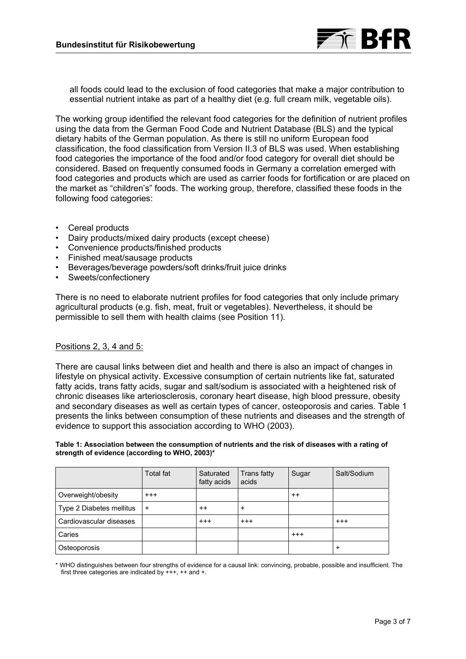

all foods could lead to the exclusion of food categories that make a major contribution to essential nutrient intake as part of a healthy diet (e.g. full cream milk, vegetable oils).

The working group identified the relevant food categories for the definition of nutrient profiles using the data from the German Food Code and Nutrient Database (BLS) and the typical dietary habits of the German population. As there is still no uniform European food classification, the food classification from Version II.3 of BLS was used. When establishing food categories the importance of the food and/or food category for overall diet should be considered. Based on frequently consumed foods in Germany a correlation emerged with food categories and products which are used as carrier foods for fortification or are placed on the market as "children's" foods. The working group, therefore, classified these foods in the following food categories:

- Cereal products
- Dairy products/mixed dairy products (except cheese)
- Convenience products/finished products
- Finished meat/sausage products
- Beverages/beverage powders/soft drinks/fruit juice drinks
- Sweets/confectionery

There is no need to elaborate nutrient profiles for food categories that only include primary agricultural products (e.g. fish, meat, fruit or vegetables). Nevertheless, it should be permissible to sell them with health claims (see Position 11).

### Positions 2, 3, 4 and 5:

There are causal links between diet and health and there is also an impact of changes in lifestyle on physical activity. Excessive consumption of certain nutrients like fat, saturated fatty acids, trans fatty acids, sugar and salt/sodium is associated with a heightened risk of chronic diseases like arteriosclerosis, coronary heart disease, high blood pressure, obesity and secondary diseases as well as certain types of cancer, osteoporosis and caries. Table 1 presents the links between consumption of these nutrients and diseases and the strength of evidence to support this association according to WHO (2003).

#### **Table 1: Association between the consumption of nutrients and the risk of diseases with a rating of strength of evidence (according to WHO, 2003)\***

|                          | Total fat | Saturated<br>fatty acids | Trans fatty<br>acids | Sugar    | Salt/Sodium |
|--------------------------|-----------|--------------------------|----------------------|----------|-------------|
| Overweight/obesity       | $^{+++}$  |                          |                      | $^{++}$  |             |
| Type 2 Diabetes mellitus | $^{+}$    | $^{++}$                  | $\ddot{}$            |          |             |
| Cardiovascular diseases  |           | $^{+++}$                 | $^{+++}$             |          | $^{+++}$    |
| Caries                   |           |                          |                      | $^{+++}$ |             |
| Osteoporosis             |           |                          |                      |          |             |

\* WHO distinguishes between four strengths of evidence for a causal link: convincing, probable, possible and insufficient. The first three categories are indicated by +++, ++ and +.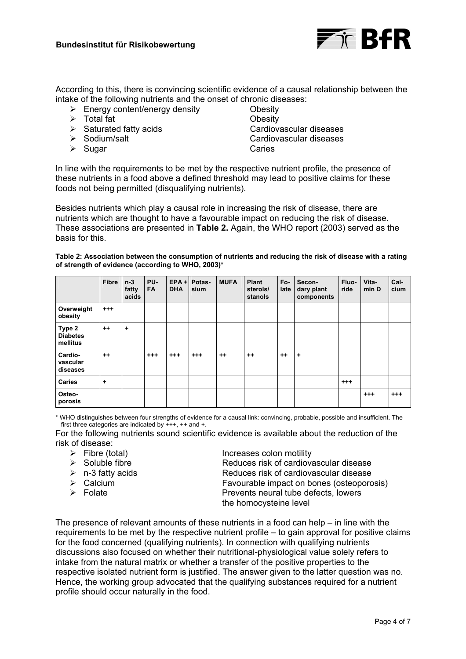

According to this, there is convincing scientific evidence of a causal relationship between the intake of the following nutrients and the onset of chronic diseases:

- ¾ Energy content/energy density Obesity
- ¾ Total fat Obesity
- 
- 
- ¾ Sugar Caries

¾ Saturated fatty acids Cardiovascular diseases ¾ Sodium/salt Cardiovascular diseases

In line with the requirements to be met by the respective nutrient profile, the presence of these nutrients in a food above a defined threshold may lead to positive claims for these foods not being permitted (disqualifying nutrients).

Besides nutrients which play a causal role in increasing the risk of disease, there are nutrients which are thought to have a favourable impact on reducing the risk of disease. These associations are presented in **Table 2.** Again, the WHO report (2003) served as the basis for this.

**Table 2: Association between the consumption of nutrients and reducing the risk of disease with a rating of strength of evidence (according to WHO, 2003)\*** 

|                                       | <b>Fibre</b> | $n-3$<br>fatty<br>acids | PU-<br><b>FA</b> | $EPA +$<br><b>DHA</b> | Potas-<br>sium | <b>MUFA</b> | Plant<br>sterols/<br>stanols | Fo-<br>late | Secon-<br>dary plant<br>components | Fluo-<br>ride | Vita-<br>min D | Cal-<br>cium |
|---------------------------------------|--------------|-------------------------|------------------|-----------------------|----------------|-------------|------------------------------|-------------|------------------------------------|---------------|----------------|--------------|
| Overweight<br>obesity                 | $^{+++}$     |                         |                  |                       |                |             |                              |             |                                    |               |                |              |
| Type 2<br><b>Diabetes</b><br>mellitus | $++$         | $\ddot{}$               |                  |                       |                |             |                              |             |                                    |               |                |              |
| Cardio-<br>vascular<br>diseases       | $++$         |                         | $^{++}$          | $^{+++}$              | $^{+++}$       | $^{++}$     | $^{++}$                      | $++$        | ٠                                  |               |                |              |
| <b>Caries</b>                         | $\ddot{}$    |                         |                  |                       |                |             |                              |             |                                    | $^{+++}$      |                |              |
| Osteo-<br>porosis                     |              |                         |                  |                       |                |             |                              |             |                                    |               | $^{++}$        | $^{+++}$     |

\* WHO distinguishes between four strengths of evidence for a causal link: convincing, probable, possible and insufficient. The first three categories are indicated by +++, ++ and +.

For the following nutrients sound scientific evidence is available about the reduction of the risk of disease:

- 
- 
- 
- 
- 

→ Fibre (total) Increases colon motility<br>
→ Soluble fibre Soluble increases risk of cardiover

Reduces risk of cardiovascular disease  $\triangleright$  n-3 fatty acids  $\triangleright$  n-3 fatty acids ¾ Calcium Favourable impact on bones (osteoporosis) ¾ Folate Prevents neural tube defects, lowers the homocysteine level

The presence of relevant amounts of these nutrients in a food can help  $-$  in line with the requirements to be met by the respective nutrient profile – to gain approval for positive claims for the food concerned (qualifying nutrients). In connection with qualifying nutrients discussions also focused on whether their nutritional-physiological value solely refers to intake from the natural matrix or whether a transfer of the positive properties to the respective isolated nutrient form is justified. The answer given to the latter question was no. Hence, the working group advocated that the qualifying substances required for a nutrient profile should occur naturally in the food.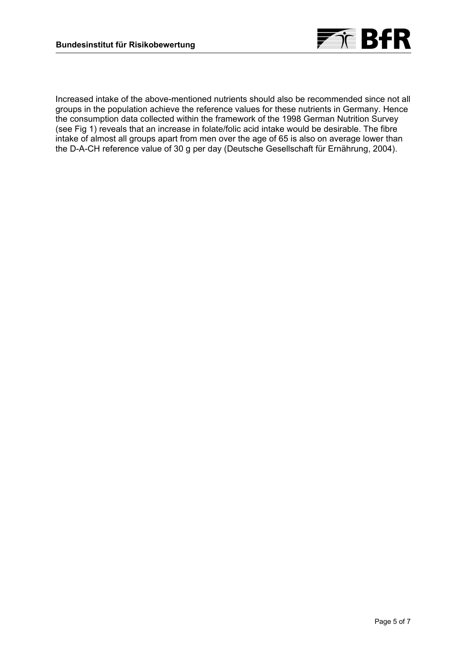

Increased intake of the above-mentioned nutrients should also be recommended since not all groups in the population achieve the reference values for these nutrients in Germany. Hence the consumption data collected within the framework of the 1998 German Nutrition Survey (see Fig 1) reveals that an increase in folate/folic acid intake would be desirable. The fibre intake of almost all groups apart from men over the age of 65 is also on average lower than the D-A-CH reference value of 30 g per day (Deutsche Gesellschaft für Ernährung, 2004).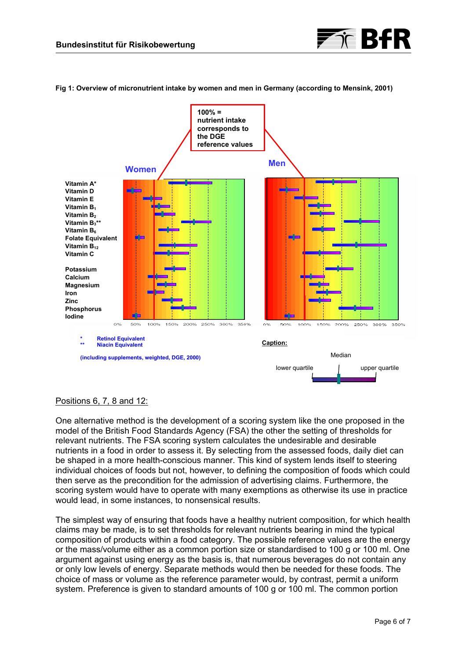

#### **Fig 1: Overview of micronutrient intake by women and men in Germany (according to Mensink, 2001)**



# Positions 6, 7, 8 and 12:

One alternative method is the development of a scoring system like the one proposed in the model of the British Food Standards Agency (FSA) the other the setting of thresholds for relevant nutrients. The FSA scoring system calculates the undesirable and desirable nutrients in a food in order to assess it. By selecting from the assessed foods, daily diet can be shaped in a more health-conscious manner. This kind of system lends itself to steering individual choices of foods but not, however, to defining the composition of foods which could then serve as the precondition for the admission of advertising claims. Furthermore, the scoring system would have to operate with many exemptions as otherwise its use in practice would lead, in some instances, to nonsensical results.

The simplest way of ensuring that foods have a healthy nutrient composition, for which health claims may be made, is to set thresholds for relevant nutrients bearing in mind the typical composition of products within a food category. The possible reference values are the energy or the mass/volume either as a common portion size or standardised to 100 g or 100 ml. One argument against using energy as the basis is, that numerous beverages do not contain any or only low levels of energy. Separate methods would then be needed for these foods. The choice of mass or volume as the reference parameter would, by contrast, permit a uniform system. Preference is given to standard amounts of 100 g or 100 ml. The common portion